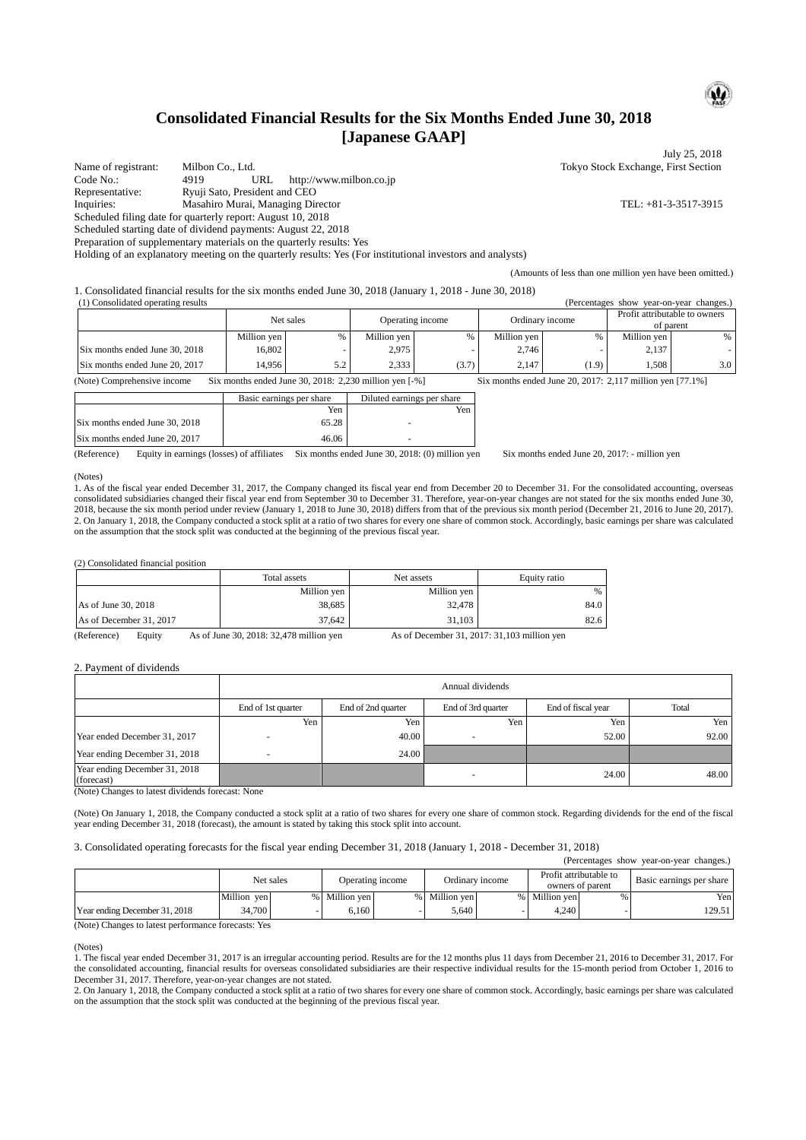# **Consolidated Financial Results for the Six Months Ended June 30, 2018 [Japanese GAAP]**

Name of registrant: Milbon Co., Ltd. Tokyo Stock Exchange, First Section<br>
Code No.: 4919 URL http://www.milbon.co.ip http://www.milbon.co.jp Representative: Ryuji Sato, President and CEO Inquiries: Masahiro Murai, Managing Director TEL: +81-3-3517-3915 Scheduled filing date for quarterly report: August 10, 2018 Scheduled starting date of dividend payments: August 22, 2018

Preparation of supplementary materials on the quarterly results: Yes

Holding of an explanatory meeting on the quarterly results: Yes (For institutional investors and analysts)

1. Consolidated financial results for the six months ended June 30, 2018 (January 1, 2018 - June 30, 2018)

|           | (1) Consolidated operating results                                                                                                                       |                  |     |             |                 | (Percentages show year-on-year changes.) |                                            |             |                  |
|-----------|----------------------------------------------------------------------------------------------------------------------------------------------------------|------------------|-----|-------------|-----------------|------------------------------------------|--------------------------------------------|-------------|------------------|
| Net sales |                                                                                                                                                          | Operating income |     |             | Ordinary income |                                          | Profit attributable to owners<br>of parent |             |                  |
|           |                                                                                                                                                          | Million yen      | %   | Million yen |                 | Million yen                              | $\%$                                       | Million ven | %                |
|           | Six months ended June 30, 2018                                                                                                                           | 16.802           |     | 2,975       |                 | 2.746                                    |                                            | 2.137       |                  |
|           | Six months ended June 20, 2017                                                                                                                           | 14.956           | 5.2 | 2.333       | (3.7)           | 2.147                                    | (1.9)                                      | 1.508       | 3.0 <sub>1</sub> |
|           | (Note) Comprehensive income<br>Six months ended June 30, 2018: $2.230$ million ven $[-%]$<br>Six months ended June 20, 2017: $2.117$ million ven [77.1%] |                  |     |             |                 |                                          |                                            |             |                  |

Basic earnings per share Diluted earnings per share

|                                | Yen   | Yen |
|--------------------------------|-------|-----|
| Six months ended June 30, 2018 | 65.28 |     |
| Six months ended June 20, 2017 | 46.06 |     |

(Reference) Equity in earnings (losses) of affiliates Six months ended June 30, 2018: (0) million yen Six months ended June 20, 2017: - million yen

(Amounts of less than one million yen have been omitted.)

#### (Notes)

1. As of the fiscal year ended December 31, 2017, the Company changed its fiscal year end from December 20 to December 31. For the consolidated accounting, overseas consolidated subsidiaries changed their fiscal year end from September 30 to December 31. Therefore, year-on-year changes are not stated for the six months ended June 30, 2018, because the six month period under review (January 1, 2018 to June 30, 2018) differs from that of the previous six month period (December 21, 2016 to June 20, 2017). 2. On January 1, 2018, the Company conducted a stock split at a ratio of two shares for every one share of common stock. Accordingly, basic earnings per share was calculated on the assumption that the stock split was conducted at the beginning of the previous fiscal year.

#### (2) Consolidated financial position

|                         | Total assets | Net assets  | Equity ratio |
|-------------------------|--------------|-------------|--------------|
|                         | Million yen  | Million yen | %            |
| As of June 30, 2018     | 38,685       | 32,478      | 84.0         |
| As of December 31, 2017 | 37,642       | 31,103      | 82.6         |

(Reference) Equity As of June 30, 2018: 32,478 million yen As of December 31, 2017: 31,103 million yen

#### 2. Payment of dividends

|                                             | Annual dividends   |                    |                    |                    |       |  |  |
|---------------------------------------------|--------------------|--------------------|--------------------|--------------------|-------|--|--|
|                                             | End of 1st quarter | End of 2nd quarter | End of 3rd quarter | End of fiscal year | Total |  |  |
|                                             | Yen                | Yen                | Yen                | Yen.               | Yen   |  |  |
| Year ended December 31, 2017                |                    | 40.00              |                    | 52.00              | 92.00 |  |  |
| Year ending December 31, 2018               |                    | 24.00              |                    |                    |       |  |  |
| Year ending December 31, 2018<br>(forecast) |                    |                    |                    | 24.00              | 48.00 |  |  |

(Note) Changes to latest dividends forecast: None

(Note) On January 1, 2018, the Company conducted a stock split at a ratio of two shares for every one share of common stock. Regarding dividends for the end of the fiscal year ending December 31, 2018 (forecast), the amount is stated by taking this stock split into account.

3. Consolidated operating forecasts for the fiscal year ending December 31, 2018 (January 1, 2018 - December 31, 2018)

|                               |             |                  |  |                 |        |                                            |  | (Percentages show year-on-year changes.) |
|-------------------------------|-------------|------------------|--|-----------------|--------|--------------------------------------------|--|------------------------------------------|
|                               | Net sales   | Operating income |  | Ordinary income |        | Profit attributable to<br>owners of parent |  | Basic earnings per share                 |
|                               | Million yen | % Million ven    |  | % Million ven   | $\%$ 1 | Million ven                                |  | Yen                                      |
| Year ending December 31, 2018 | 34,700      | 6.160            |  | ا 640.          |        | 4.240                                      |  | 129.51                                   |

(Note) Changes to latest performance forecasts: Yes

#### (Notes)

1. The fiscal year ended December 31, 2017 is an irregular accounting period. Results are for the 12 months plus 11 days from December 21, 2016 to December 31, 2017. For the consolidated accounting, financial results for overseas consolidated subsidiaries are their respective individual results for the 15-month period from October 1, 2016 to December 31, 2017. Therefore, year-on-year changes are not stated.

2. On January 1, 2018, the Company conducted a stock split at a ratio of two shares for every one share of common stock. Accordingly, basic earnings per share was calculated on the assumption that the stock split was conducted at the beginning of the previous fiscal year.



July 25, 2018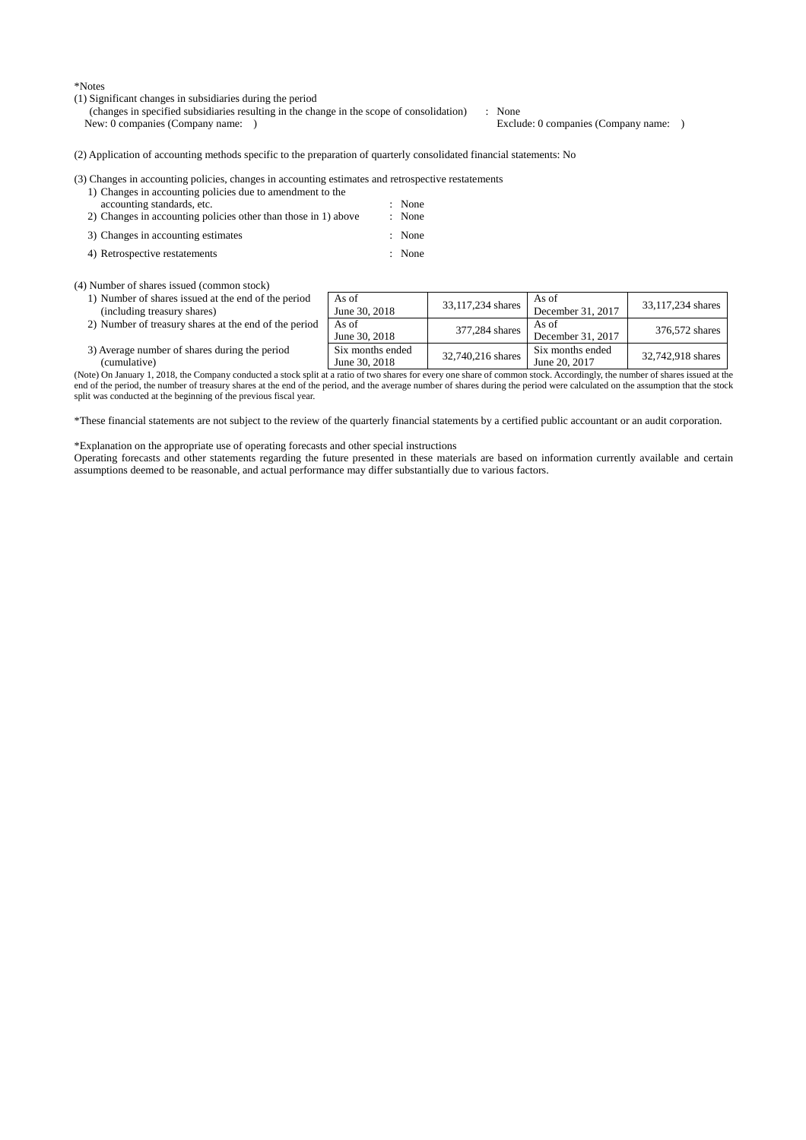\*Notes

(1) Significant changes in subsidiaries during the period

(changes in specified subsidiaries resulting in the change in the scope of consolidation) : None New: 0 companies (Company name: ) Exclude: 0 companies (Company name: )

(2) Application of accounting methods specific to the preparation of quarterly consolidated financial statements: No

(4) Number of shares issued (common stock)

- 1) Number of shares issued at the end of the period (including treasury shares)
- 
- 2) Number of treasury shares at the end of the period  $\begin{array}{|c|c|c|c|c|} \hline \text{As of} & \text{June 30, 2018} \end{array}$ 3) Average number of shares during the period (cumulative) Six months ended

(Note) On January 1, 2018, the Company conducted a stock split at a ratio of two shares for every one share of common stock. Accordingly, the number of shares issued at the end of the period, the number of treasury shares at the end of the period, and the average number of shares during the period were calculated on the assumption that the stock split was conducted at the beginning of the previous fiscal year.

\*These financial statements are not subject to the review of the quarterly financial statements by a certified public accountant or an audit corporation.

\*Explanation on the appropriate use of operating forecasts and other special instructions

Operating forecasts and other statements regarding the future presented in these materials are based on information currently available and certain assumptions deemed to be reasonable, and actual performance may differ substantially due to various factors.

As of<br>June 30, 2018  $33,117,234$  shares  $\overline{AS}$  of As of<br>December 31, 2017 33,117,234 shares  $\frac{\text{377,284 shares}}{\text{December 31, 201}}$  As of<br>December 31, 201 As of Becember 31, 2017 376,572 shares June 30, 2018 32,740,216 shares June 20, 2017 32,742,918 shares

# (3) Changes in accounting policies, changes in accounting estimates and retrospective restatements 1) Changes in accounting policies due to amendment to the accounting standards, etc. : None<br>Changes in accounting policies other than those in 1) above : None 2) Changes in accounting policies other than those in  $1$ ) above 3) Changes in accounting estimates : None 4) Retrospective restatements : None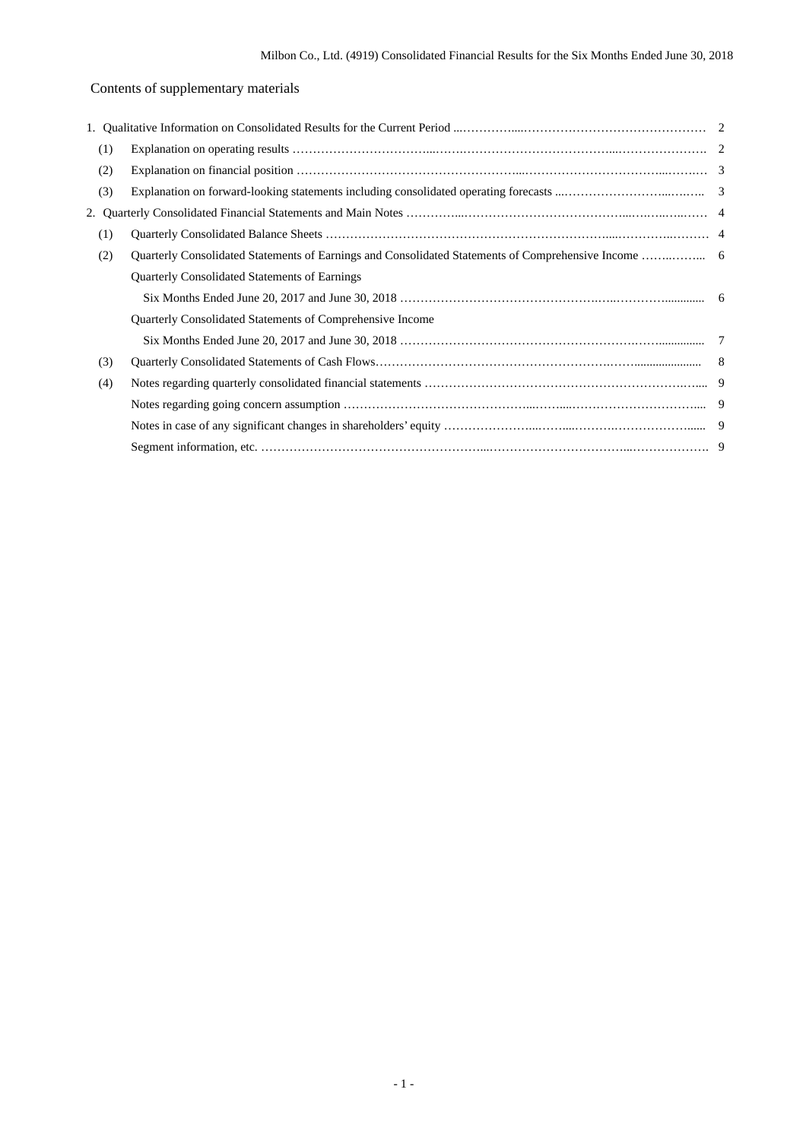# Contents of supplementary materials

| (1) |                                                           |  |
|-----|-----------------------------------------------------------|--|
| (2) |                                                           |  |
| (3) |                                                           |  |
| 2.  |                                                           |  |
| (1) |                                                           |  |
| (2) |                                                           |  |
|     | <b>Quarterly Consolidated Statements of Earnings</b>      |  |
|     |                                                           |  |
|     | Quarterly Consolidated Statements of Comprehensive Income |  |
|     |                                                           |  |
| (3) |                                                           |  |
| (4) |                                                           |  |
|     |                                                           |  |
|     |                                                           |  |
|     |                                                           |  |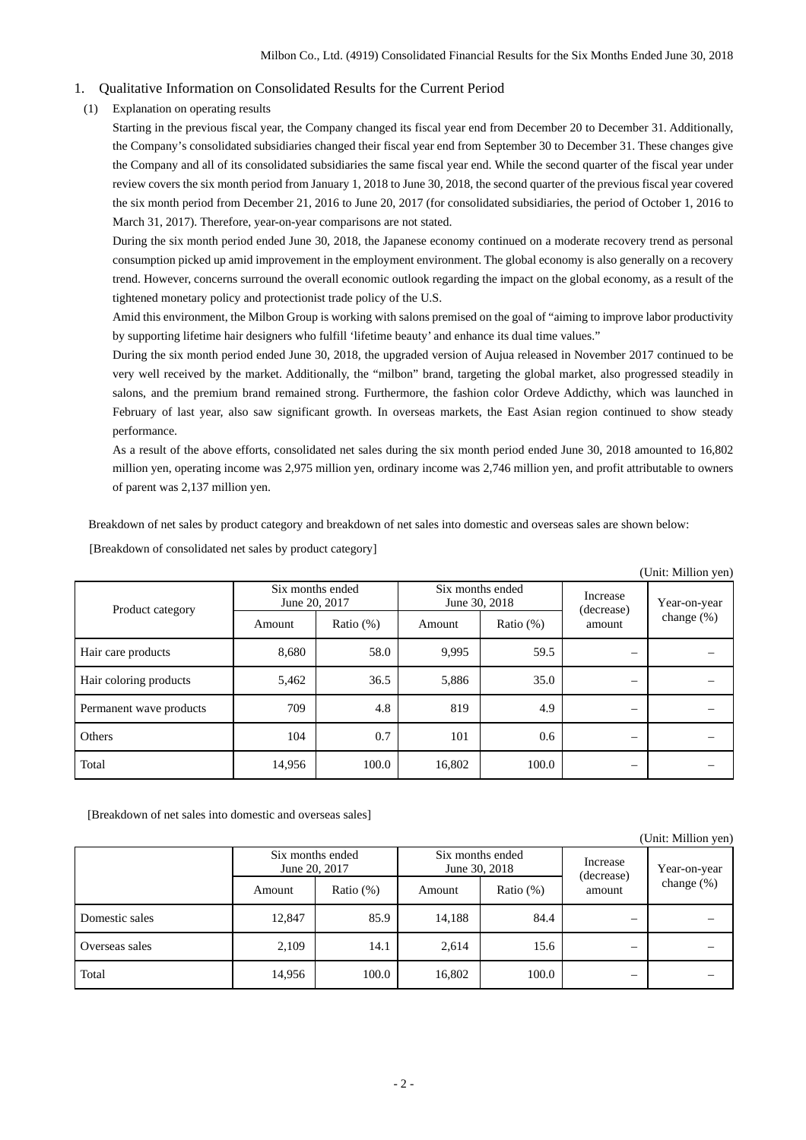## 1. Qualitative Information on Consolidated Results for the Current Period

(1) Explanation on operating results

Starting in the previous fiscal year, the Company changed its fiscal year end from December 20 to December 31. Additionally, the Company's consolidated subsidiaries changed their fiscal year end from September 30 to December 31. These changes give the Company and all of its consolidated subsidiaries the same fiscal year end. While the second quarter of the fiscal year under review covers the six month period from January 1, 2018 to June 30, 2018, the second quarter of the previous fiscal year covered the six month period from December 21, 2016 to June 20, 2017 (for consolidated subsidiaries, the period of October 1, 2016 to March 31, 2017). Therefore, year-on-year comparisons are not stated.

During the six month period ended June 30, 2018, the Japanese economy continued on a moderate recovery trend as personal consumption picked up amid improvement in the employment environment. The global economy is also generally on a recovery trend. However, concerns surround the overall economic outlook regarding the impact on the global economy, as a result of the tightened monetary policy and protectionist trade policy of the U.S.

Amid this environment, the Milbon Group is working with salons premised on the goal of "aiming to improve labor productivity by supporting lifetime hair designers who fulfill 'lifetime beauty' and enhance its dual time values."

During the six month period ended June 30, 2018, the upgraded version of Aujua released in November 2017 continued to be very well received by the market. Additionally, the "milbon" brand, targeting the global market, also progressed steadily in salons, and the premium brand remained strong. Furthermore, the fashion color Ordeve Addicthy, which was launched in February of last year, also saw significant growth. In overseas markets, the East Asian region continued to show steady performance.

As a result of the above efforts, consolidated net sales during the six month period ended June 30, 2018 amounted to 16,802 million yen, operating income was 2,975 million yen, ordinary income was 2,746 million yen, and profit attributable to owners of parent was 2,137 million yen.

Breakdown of net sales by product category and breakdown of net sales into domestic and overseas sales are shown below:

|                         |                                   |              |        |                                   |                                  | (Unit: Million yen)           |
|-------------------------|-----------------------------------|--------------|--------|-----------------------------------|----------------------------------|-------------------------------|
| Product category        | Six months ended<br>June 20, 2017 |              |        | Six months ended<br>June 30, 2018 | Increase<br>(decrease)<br>amount | Year-on-year<br>change $(\%)$ |
|                         | Amount                            | Ratio $(\%)$ | Amount | Ratio $(\%)$                      |                                  |                               |
| Hair care products      | 8,680                             | 58.0         | 9,995  | 59.5                              | —                                |                               |
| Hair coloring products  | 5,462                             | 36.5         | 5,886  | 35.0                              |                                  |                               |
| Permanent wave products | 709                               | 4.8          | 819    | 4.9                               | $\overline{\phantom{0}}$         |                               |
| Others                  | 104                               | 0.7          | 101    | 0.6                               | —                                |                               |
| Total                   | 14,956                            | 100.0        | 16,802 | 100.0                             | -                                |                               |

[Breakdown of consolidated net sales by product category]

[Breakdown of net sales into domestic and overseas sales]

|                |                                   |              |                                   |              |                        | (Unit: Million yen) |
|----------------|-----------------------------------|--------------|-----------------------------------|--------------|------------------------|---------------------|
|                | Six months ended<br>June 20, 2017 |              | Six months ended<br>June 30, 2018 |              | Increase<br>(decrease) | Year-on-year        |
|                | Amount                            | Ratio $(\%)$ | Amount                            | Ratio $(\%)$ | amount                 | change $(\%)$       |
| Domestic sales | 12,847                            | 85.9         | 14,188                            | 84.4         | –                      |                     |
| Overseas sales | 2,109                             | 14.1         | 2,614                             | 15.6         | –                      |                     |
| Total          | 14,956                            | 100.0        | 16,802                            | 100.0        | –                      |                     |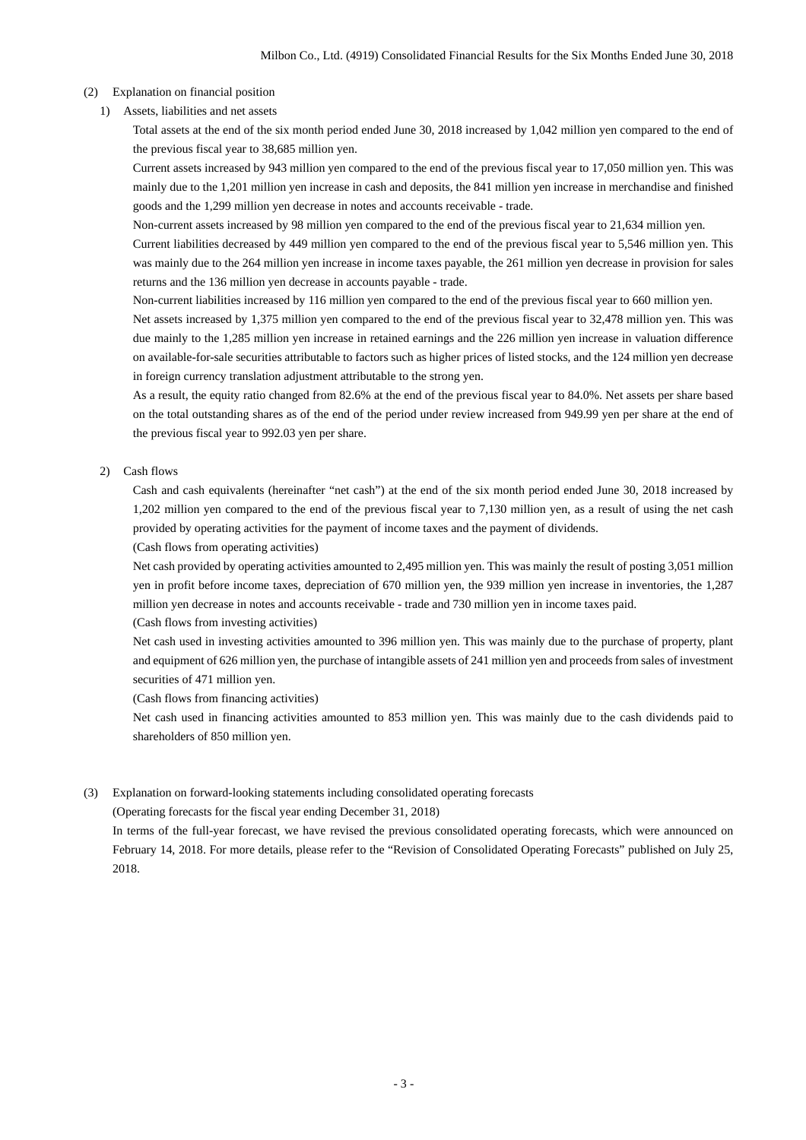### (2) Explanation on financial position

1) Assets, liabilities and net assets

Total assets at the end of the six month period ended June 30, 2018 increased by 1,042 million yen compared to the end of the previous fiscal year to 38,685 million yen.

Current assets increased by 943 million yen compared to the end of the previous fiscal year to 17,050 million yen. This was mainly due to the 1,201 million yen increase in cash and deposits, the 841 million yen increase in merchandise and finished goods and the 1,299 million yen decrease in notes and accounts receivable - trade.

Non-current assets increased by 98 million yen compared to the end of the previous fiscal year to 21,634 million yen.

Current liabilities decreased by 449 million yen compared to the end of the previous fiscal year to 5,546 million yen. This was mainly due to the 264 million yen increase in income taxes payable, the 261 million yen decrease in provision for sales returns and the 136 million yen decrease in accounts payable - trade.

Non-current liabilities increased by 116 million yen compared to the end of the previous fiscal year to 660 million yen.

Net assets increased by 1,375 million yen compared to the end of the previous fiscal year to 32,478 million yen. This was due mainly to the 1,285 million yen increase in retained earnings and the 226 million yen increase in valuation difference on available-for-sale securities attributable to factors such as higher prices of listed stocks, and the 124 million yen decrease in foreign currency translation adjustment attributable to the strong yen.

As a result, the equity ratio changed from 82.6% at the end of the previous fiscal year to 84.0%. Net assets per share based on the total outstanding shares as of the end of the period under review increased from 949.99 yen per share at the end of the previous fiscal year to 992.03 yen per share.

## 2) Cash flows

Cash and cash equivalents (hereinafter "net cash") at the end of the six month period ended June 30, 2018 increased by 1,202 million yen compared to the end of the previous fiscal year to 7,130 million yen, as a result of using the net cash provided by operating activities for the payment of income taxes and the payment of dividends.

(Cash flows from operating activities)

Net cash provided by operating activities amounted to 2,495 million yen. This was mainly the result of posting 3,051 million yen in profit before income taxes, depreciation of 670 million yen, the 939 million yen increase in inventories, the 1,287 million yen decrease in notes and accounts receivable - trade and 730 million yen in income taxes paid.

(Cash flows from investing activities)

Net cash used in investing activities amounted to 396 million yen. This was mainly due to the purchase of property, plant and equipment of 626 million yen, the purchase of intangible assets of 241 million yen and proceeds from sales of investment securities of 471 million yen.

(Cash flows from financing activities)

Net cash used in financing activities amounted to 853 million yen. This was mainly due to the cash dividends paid to shareholders of 850 million yen.

## (3) Explanation on forward-looking statements including consolidated operating forecasts

(Operating forecasts for the fiscal year ending December 31, 2018)

In terms of the full-year forecast, we have revised the previous consolidated operating forecasts, which were announced on February 14, 2018. For more details, please refer to the "Revision of Consolidated Operating Forecasts" published on July 25, 2018.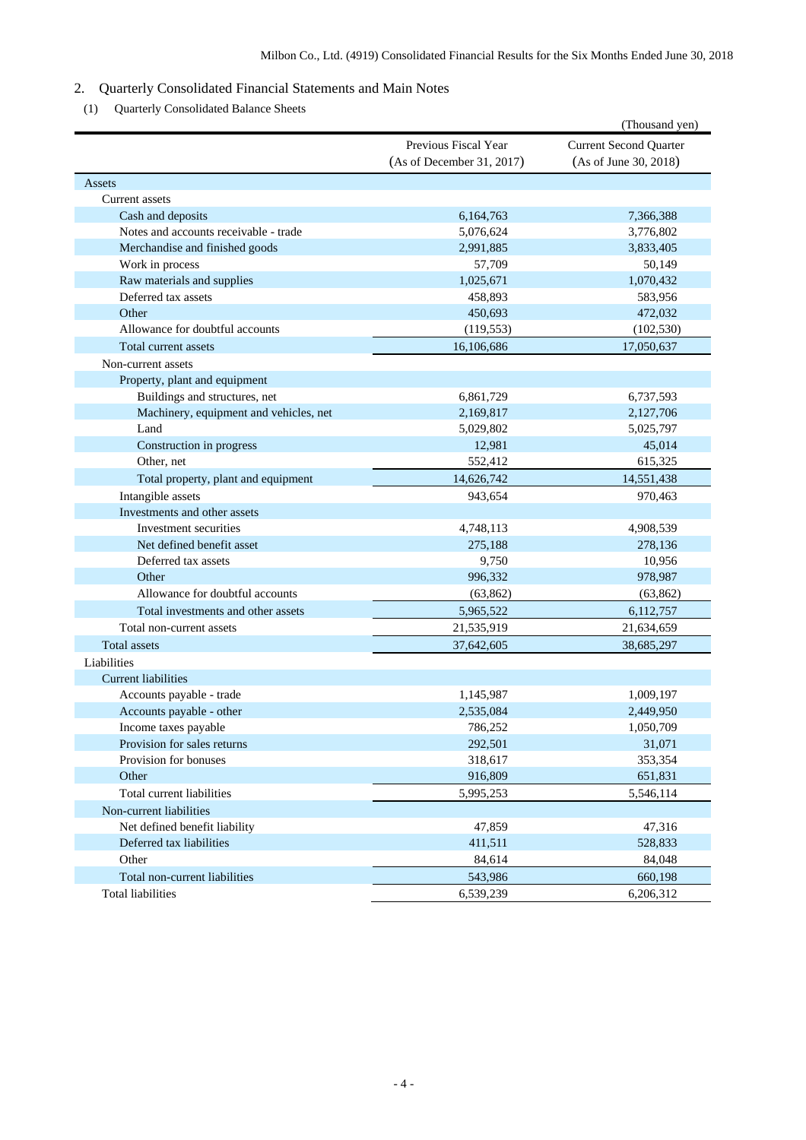## 2. Quarterly Consolidated Financial Statements and Main Notes

(1) Quarterly Consolidated Balance Sheets

|                                        |                                                   | (Thousand yen)                                         |
|----------------------------------------|---------------------------------------------------|--------------------------------------------------------|
|                                        | Previous Fiscal Year<br>(As of December 31, 2017) | <b>Current Second Quarter</b><br>(As of June 30, 2018) |
| Assets                                 |                                                   |                                                        |
| Current assets                         |                                                   |                                                        |
| Cash and deposits                      | 6,164,763                                         | 7,366,388                                              |
| Notes and accounts receivable - trade  | 5,076,624                                         | 3,776,802                                              |
| Merchandise and finished goods         | 2,991,885                                         | 3,833,405                                              |
| Work in process                        | 57,709                                            | 50,149                                                 |
| Raw materials and supplies             | 1,025,671                                         | 1,070,432                                              |
| Deferred tax assets                    | 458,893                                           | 583,956                                                |
| Other                                  | 450,693                                           | 472,032                                                |
| Allowance for doubtful accounts        | (119, 553)                                        | (102, 530)                                             |
| Total current assets                   | 16,106,686                                        | 17,050,637                                             |
| Non-current assets                     |                                                   |                                                        |
| Property, plant and equipment          |                                                   |                                                        |
| Buildings and structures, net          | 6,861,729                                         | 6,737,593                                              |
| Machinery, equipment and vehicles, net | 2,169,817                                         | 2,127,706                                              |
| Land                                   | 5,029,802                                         | 5,025,797                                              |
| Construction in progress               | 12,981                                            | 45,014                                                 |
| Other, net                             | 552,412                                           | 615,325                                                |
| Total property, plant and equipment    | 14,626,742                                        | 14,551,438                                             |
| Intangible assets                      | 943,654                                           | 970,463                                                |
| Investments and other assets           |                                                   |                                                        |
| Investment securities                  | 4,748,113                                         | 4,908,539                                              |
| Net defined benefit asset              | 275,188                                           | 278,136                                                |
| Deferred tax assets                    | 9,750                                             | 10,956                                                 |
| Other                                  | 996,332                                           | 978,987                                                |
| Allowance for doubtful accounts        | (63, 862)                                         | (63, 862)                                              |
| Total investments and other assets     | 5,965,522                                         | 6,112,757                                              |
| Total non-current assets               | 21,535,919                                        | 21,634,659                                             |
| <b>Total assets</b>                    | 37,642,605                                        | 38,685,297                                             |
| Liabilities                            |                                                   |                                                        |
| <b>Current liabilities</b>             |                                                   |                                                        |
| Accounts payable - trade               | 1,145,987                                         | 1,009,197                                              |
| Accounts payable - other               | 2,535,084                                         | 2,449,950                                              |
| Income taxes payable                   | 786,252                                           | 1,050,709                                              |
| Provision for sales returns            | 292,501                                           | 31,071                                                 |
| Provision for bonuses                  | 318,617                                           | 353,354                                                |
| Other                                  | 916,809                                           | 651,831                                                |
| Total current liabilities              | 5,995,253                                         | 5,546,114                                              |
| Non-current liabilities                |                                                   |                                                        |
| Net defined benefit liability          | 47,859                                            | 47,316                                                 |
| Deferred tax liabilities               | 411,511                                           | 528,833                                                |
| Other                                  | 84,614                                            | 84,048                                                 |
| Total non-current liabilities          | 543,986                                           | 660,198                                                |
| <b>Total liabilities</b>               | 6,539,239                                         | 6,206,312                                              |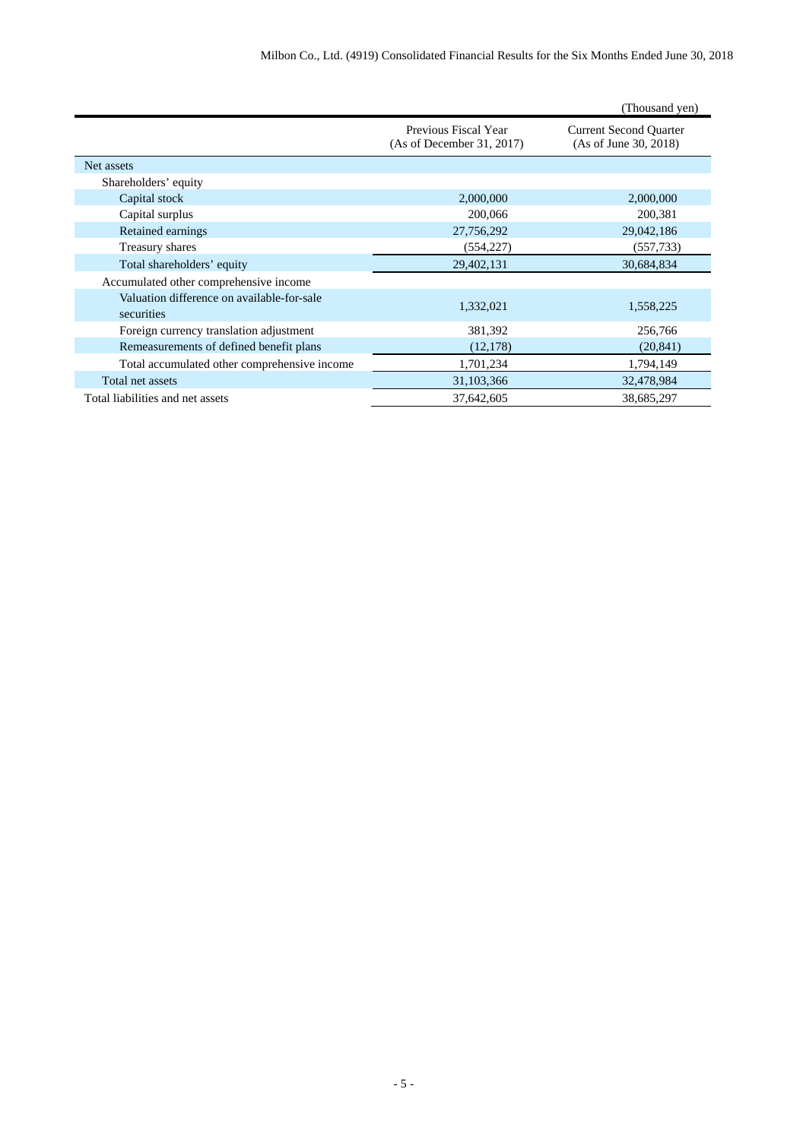|                                                          |                                                   | (Thousand yen)                                         |
|----------------------------------------------------------|---------------------------------------------------|--------------------------------------------------------|
|                                                          | Previous Fiscal Year<br>(As of December 31, 2017) | <b>Current Second Quarter</b><br>(As of June 30, 2018) |
| Net assets                                               |                                                   |                                                        |
| Shareholders' equity                                     |                                                   |                                                        |
| Capital stock                                            | 2,000,000                                         | 2,000,000                                              |
| Capital surplus                                          | 200,066                                           | 200,381                                                |
| Retained earnings                                        | 27,756,292                                        | 29,042,186                                             |
| Treasury shares                                          | (554, 227)                                        | (557, 733)                                             |
| Total shareholders' equity                               | 29,402,131                                        | 30,684,834                                             |
| Accumulated other comprehensive income                   |                                                   |                                                        |
| Valuation difference on available-for-sale<br>securities | 1,332,021                                         | 1,558,225                                              |
| Foreign currency translation adjustment                  | 381,392                                           | 256,766                                                |
| Remeasurements of defined benefit plans                  | (12, 178)                                         | (20, 841)                                              |
| Total accumulated other comprehensive income             | 1,701,234                                         | 1,794,149                                              |
| Total net assets                                         | 31,103,366                                        | 32,478,984                                             |
| Total liabilities and net assets                         | 37,642,605                                        | 38,685,297                                             |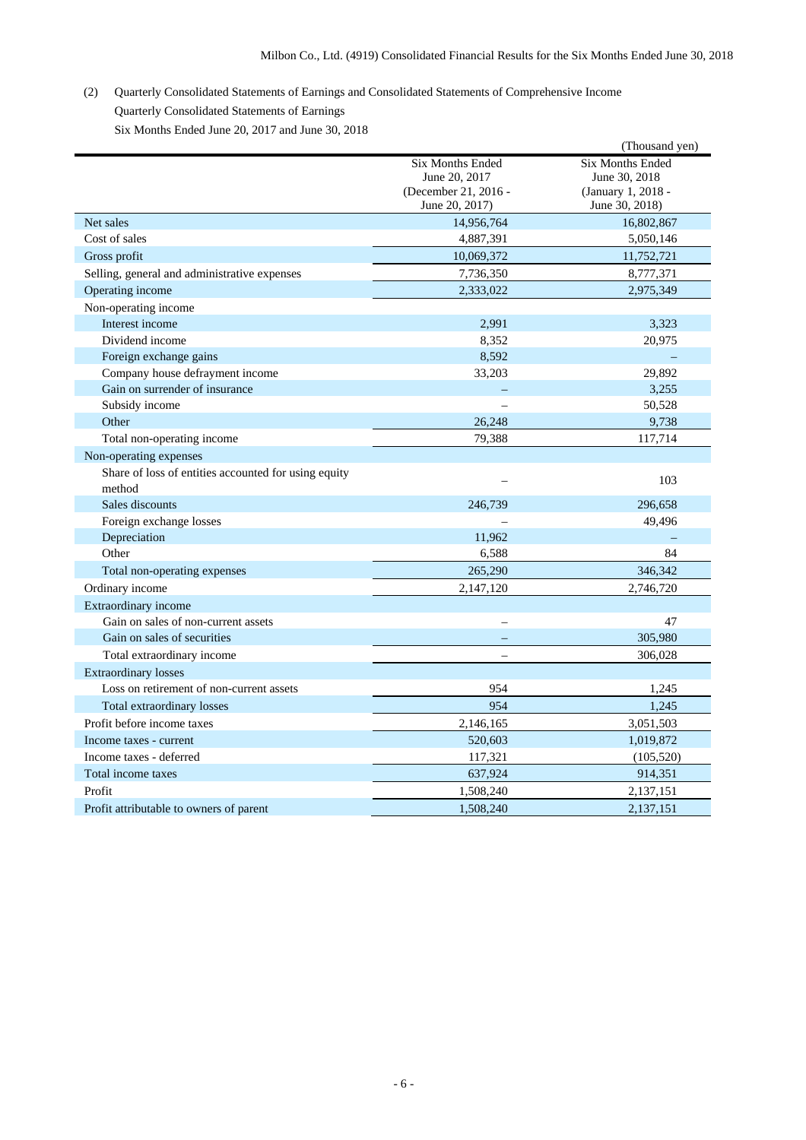# (2) Quarterly Consolidated Statements of Earnings and Consolidated Statements of Comprehensive Income Quarterly Consolidated Statements of Earnings

Six Months Ended June 20, 2017 and June 30, 2018

|                                                      |                         | (Thousand yen)          |
|------------------------------------------------------|-------------------------|-------------------------|
|                                                      | <b>Six Months Ended</b> | <b>Six Months Ended</b> |
|                                                      | June 20, 2017           | June 30, 2018           |
|                                                      | (December 21, 2016 -    | (January 1, 2018 -      |
|                                                      | June 20, 2017)          | June 30, 2018)          |
| Net sales                                            | 14,956,764              | 16,802,867              |
| Cost of sales                                        | 4,887,391               | 5,050,146               |
| Gross profit                                         | 10,069,372              | 11,752,721              |
| Selling, general and administrative expenses         | 7,736,350               | 8,777,371               |
| Operating income                                     | 2,333,022               | 2,975,349               |
| Non-operating income                                 |                         |                         |
| Interest income                                      | 2,991                   | 3,323                   |
| Dividend income                                      | 8,352                   | 20,975                  |
| Foreign exchange gains                               | 8,592                   |                         |
| Company house defrayment income                      | 33,203                  | 29,892                  |
| Gain on surrender of insurance                       |                         | 3,255                   |
| Subsidy income                                       |                         | 50,528                  |
| Other                                                | 26,248                  | 9,738                   |
| Total non-operating income                           | 79,388                  | 117,714                 |
| Non-operating expenses                               |                         |                         |
| Share of loss of entities accounted for using equity |                         |                         |
| method                                               |                         | 103                     |
| Sales discounts                                      | 246,739                 | 296.658                 |
| Foreign exchange losses                              |                         | 49,496                  |
| Depreciation                                         | 11,962                  |                         |
| Other                                                | 6,588                   | 84                      |
| Total non-operating expenses                         | 265,290                 | 346,342                 |
| Ordinary income                                      | 2,147,120               | 2,746,720               |
| Extraordinary income                                 |                         |                         |
| Gain on sales of non-current assets                  |                         | 47                      |
| Gain on sales of securities                          |                         | 305,980                 |
| Total extraordinary income                           |                         | 306,028                 |
| <b>Extraordinary losses</b>                          |                         |                         |
| Loss on retirement of non-current assets             | 954                     | 1,245                   |
| Total extraordinary losses                           | 954                     | 1,245                   |
| Profit before income taxes                           | 2,146,165               | 3,051,503               |
| Income taxes - current                               | 520,603                 | 1,019,872               |
| Income taxes - deferred                              | 117,321                 | (105, 520)              |
| Total income taxes                                   | 637,924                 | 914,351                 |
| Profit                                               | 1,508,240               | 2,137,151               |
|                                                      |                         |                         |
| Profit attributable to owners of parent              | 1,508,240               | 2,137,151               |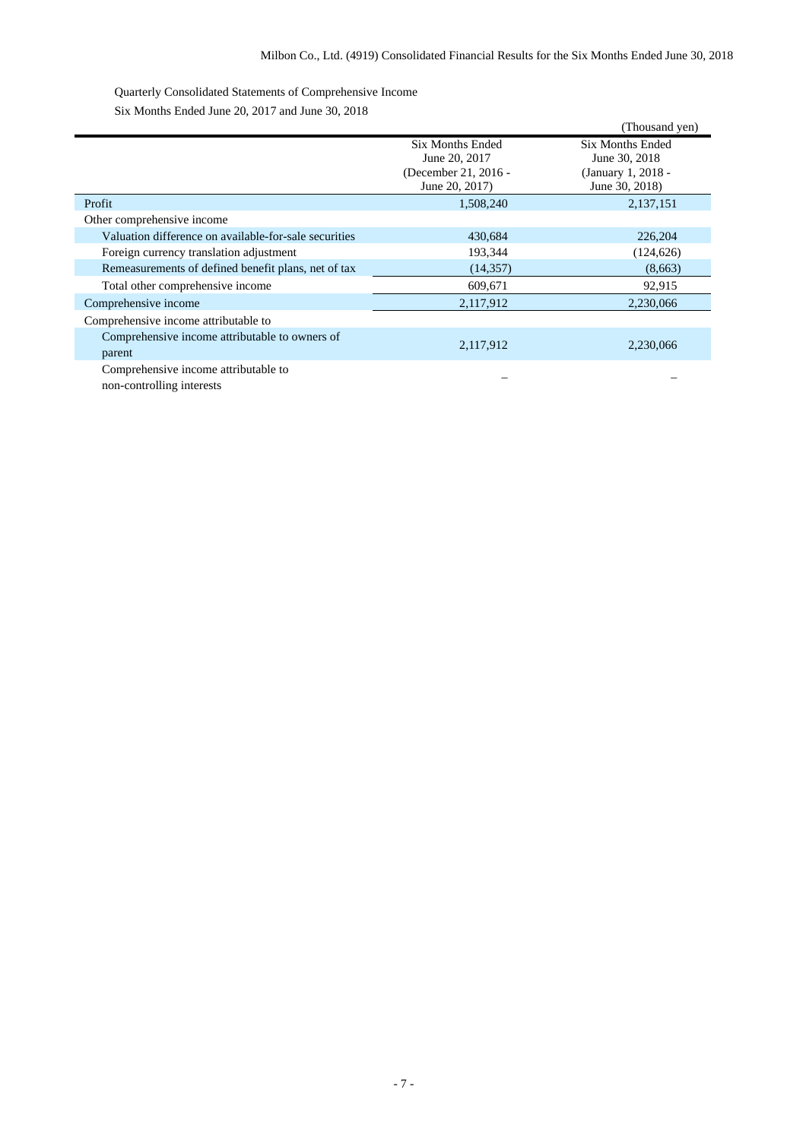Quarterly Consolidated Statements of Comprehensive Income

Six Months Ended June 20, 2017 and June 30, 2018

|                                                          |                                                                                    | (Thousand yen)                                                                   |
|----------------------------------------------------------|------------------------------------------------------------------------------------|----------------------------------------------------------------------------------|
|                                                          | <b>Six Months Ended</b><br>June 20, 2017<br>(December 21, 2016 -<br>June 20, 2017) | <b>Six Months Ended</b><br>June 30, 2018<br>(January 1, 2018 -<br>June 30, 2018) |
| Profit                                                   | 1,508,240                                                                          | 2,137,151                                                                        |
| Other comprehensive income                               |                                                                                    |                                                                                  |
| Valuation difference on available-for-sale securities    | 430,684                                                                            | 226,204                                                                          |
| Foreign currency translation adjustment                  | 193,344                                                                            | (124, 626)                                                                       |
| Remeasurements of defined benefit plans, net of tax      | (14, 357)                                                                          | (8,663)                                                                          |
| Total other comprehensive income                         | 609,671                                                                            | 92,915                                                                           |
| Comprehensive income                                     | 2,117,912                                                                          | 2,230,066                                                                        |
| Comprehensive income attributable to                     |                                                                                    |                                                                                  |
| Comprehensive income attributable to owners of<br>parent | 2,117,912                                                                          | 2,230,066                                                                        |
| Comprehensive income attributable to                     |                                                                                    |                                                                                  |

non-controlling interests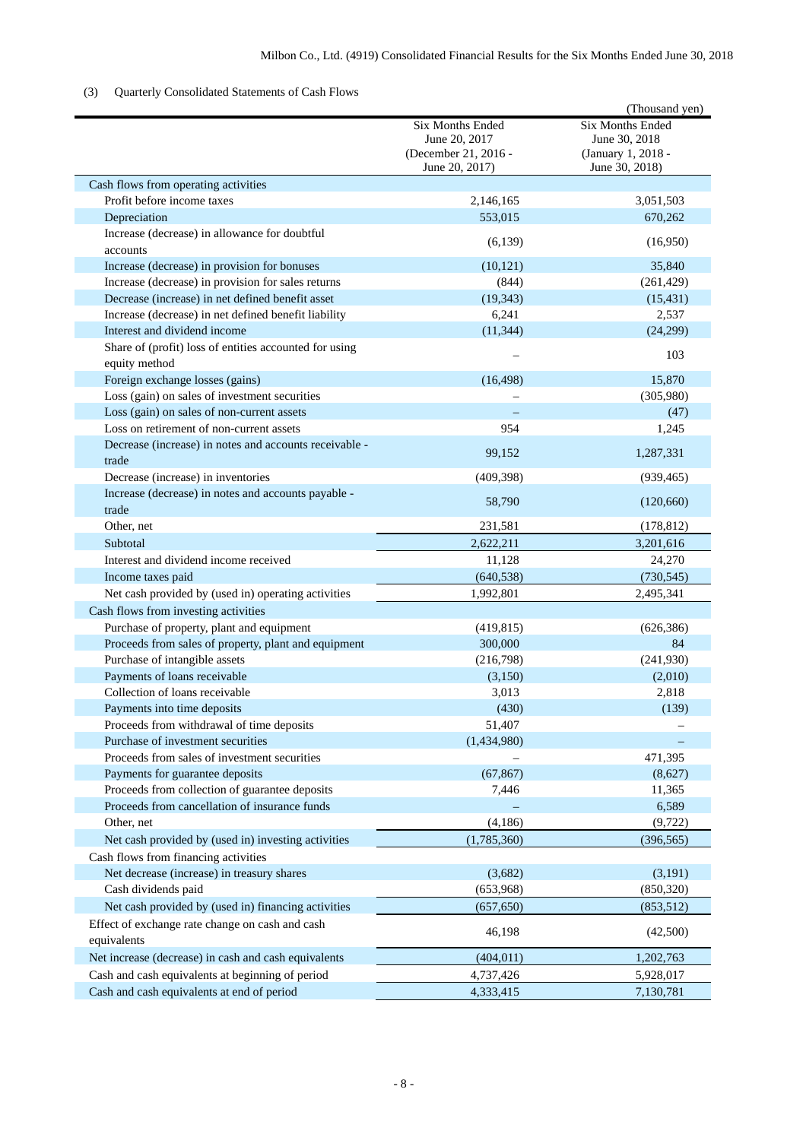## (3) Quarterly Consolidated Statements of Cash Flows

|                                                                         |                                                                                    | (Thousand yen)                                                                   |
|-------------------------------------------------------------------------|------------------------------------------------------------------------------------|----------------------------------------------------------------------------------|
|                                                                         | <b>Six Months Ended</b><br>June 20, 2017<br>(December 21, 2016 -<br>June 20, 2017) | <b>Six Months Ended</b><br>June 30, 2018<br>(January 1, 2018 -<br>June 30, 2018) |
| Cash flows from operating activities                                    |                                                                                    |                                                                                  |
| Profit before income taxes                                              | 2,146,165                                                                          | 3,051,503                                                                        |
| Depreciation                                                            | 553,015                                                                            | 670,262                                                                          |
| Increase (decrease) in allowance for doubtful                           |                                                                                    | (16,950)                                                                         |
| accounts                                                                | (6,139)                                                                            |                                                                                  |
| Increase (decrease) in provision for bonuses                            | (10, 121)                                                                          | 35,840                                                                           |
| Increase (decrease) in provision for sales returns                      | (844)                                                                              | (261, 429)                                                                       |
| Decrease (increase) in net defined benefit asset                        | (19, 343)                                                                          | (15, 431)                                                                        |
| Increase (decrease) in net defined benefit liability                    | 6,241                                                                              | 2,537                                                                            |
| Interest and dividend income                                            | (11, 344)                                                                          | (24,299)                                                                         |
| Share of (profit) loss of entities accounted for using<br>equity method |                                                                                    | 103                                                                              |
| Foreign exchange losses (gains)                                         | (16, 498)                                                                          | 15,870                                                                           |
| Loss (gain) on sales of investment securities                           |                                                                                    | (305,980)                                                                        |
| Loss (gain) on sales of non-current assets                              |                                                                                    | (47)                                                                             |
| Loss on retirement of non-current assets                                | 954                                                                                | 1,245                                                                            |
| Decrease (increase) in notes and accounts receivable -<br>trade         | 99,152                                                                             | 1,287,331                                                                        |
| Decrease (increase) in inventories                                      | (409, 398)                                                                         | (939, 465)                                                                       |
| Increase (decrease) in notes and accounts payable -<br>trade            | 58,790                                                                             | (120,660)                                                                        |
| Other, net                                                              | 231,581                                                                            | (178, 812)                                                                       |
| Subtotal                                                                | 2,622,211                                                                          | 3,201,616                                                                        |
| Interest and dividend income received                                   | 11,128                                                                             | 24,270                                                                           |
| Income taxes paid                                                       | (640, 538)                                                                         | (730, 545)                                                                       |
| Net cash provided by (used in) operating activities                     | 1,992,801                                                                          | 2,495,341                                                                        |
| Cash flows from investing activities                                    |                                                                                    |                                                                                  |
| Purchase of property, plant and equipment                               | (419, 815)                                                                         | (626, 386)                                                                       |
| Proceeds from sales of property, plant and equipment                    | 300,000                                                                            | 84                                                                               |
| Purchase of intangible assets                                           | (216,798)                                                                          | (241,930)                                                                        |
| Payments of loans receivable                                            | (3,150)                                                                            | (2,010)                                                                          |
| Collection of loans receivable                                          | 3,013                                                                              | 2,818                                                                            |
| Payments into time deposits                                             | (430)                                                                              | (139)                                                                            |
| Proceeds from withdrawal of time deposits                               | 51,407                                                                             |                                                                                  |
| Purchase of investment securities                                       | (1,434,980)                                                                        |                                                                                  |
| Proceeds from sales of investment securities                            |                                                                                    | 471,395                                                                          |
| Payments for guarantee deposits                                         | (67, 867)                                                                          | (8,627)                                                                          |
| Proceeds from collection of guarantee deposits                          | 7,446                                                                              | 11,365                                                                           |
| Proceeds from cancellation of insurance funds                           |                                                                                    | 6,589                                                                            |
| Other, net                                                              | (4, 186)                                                                           | (9, 722)                                                                         |
| Net cash provided by (used in) investing activities                     | (1,785,360)                                                                        | (396, 565)                                                                       |
| Cash flows from financing activities                                    |                                                                                    |                                                                                  |
| Net decrease (increase) in treasury shares                              | (3,682)                                                                            | (3,191)                                                                          |
| Cash dividends paid                                                     | (653,968)                                                                          | (850, 320)                                                                       |
| Net cash provided by (used in) financing activities                     | (657, 650)                                                                         | (853,512)                                                                        |
| Effect of exchange rate change on cash and cash<br>equivalents          | 46,198                                                                             | (42,500)                                                                         |
| Net increase (decrease) in cash and cash equivalents                    | (404, 011)                                                                         | 1,202,763                                                                        |
| Cash and cash equivalents at beginning of period                        | 4,737,426                                                                          | 5,928,017                                                                        |
| Cash and cash equivalents at end of period                              | 4,333,415                                                                          | 7,130,781                                                                        |